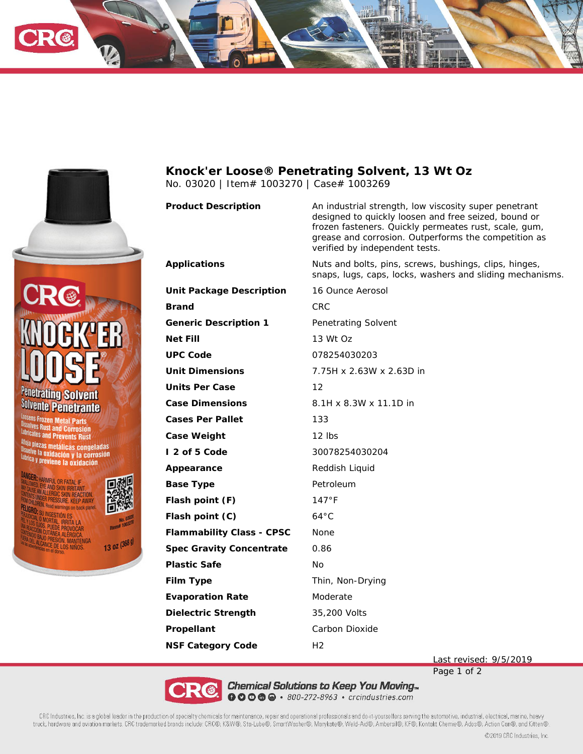



13 oz (368 g)

**ELOS NIÑOS** 

**Knock'er Loose® Penetrating Solvent, 13 Wt Oz** No. 03020 | Item# 1003270 | Case# 1003269

**Product Description** An industrial strength, low viscosity super penetrant

Applications **Nuts** and bolts, pins, screws, bushings, clips, hinges,

**Unit Package Description** 16 Ounce Aerosol **Brand** CRC **Generic Description 1** Penetrating Solvent **Net Fill** 13 Wt Oz **UPC Code** 078254030203 **Unit Dimensions** 7.75H x 2.63W x 2.63D in **Units Per Case** 12 **Case Dimensions** 8.1H x 8.3W x 11.1D in **Cases Per Pallet** 133 **Case Weight** 12 lbs **I 2 of 5 Code** 30078254030204 Appearance Reddish Liquid **Base Type Petroleum Flash point (F)** 147°F **Flash point (C)** 64°C **Flammability Class - CPSC** None **Spec Gravity Concentrate** 0.86 **Plastic Safe** No **Film Type** Thin, Non-Drying **Evaporation Rate Moderate Dielectric Strength** 35,200 Volts Propellant **Carbon Dioxide NSF Category Code** H2

snaps, lugs, caps, locks, washers and sliding mechanisms.

verified by independent tests.

designed to quickly loosen and free seized, bound or frozen fasteners. Quickly permeates rust, scale, gum, grease and corrosion. Outperforms the competition as

Last revised: 9/5/2019

Page 1 of 2

Chemical Solutions to Keep You Moving...  $\bullet$   $\bullet$   $\bullet$   $\bullet$   $\bullet$   $\bullet$  800-272-8963  $\cdot$  crcindustries.com

CRC Industries, Inc. is a global leader in the production of specialty chemicals for maintenance, repair and operational professionals and do-it-yourselfers serving the automotive, industrial, electrical, marine, heavy truck, hardware and aviation markets. CRC trademarked brands include: CRC®, K&W®, Sta-Lube®, SmartWasher®, Marykate®, Weld-Aid®, Ambersil®, KF®, Kontakt Chemie®, Ados®, Action Can®, and Kitten®.